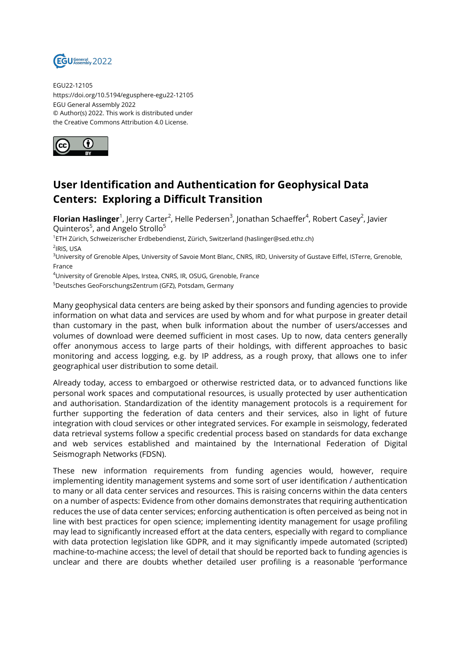

EGU22-12105 https://doi.org/10.5194/egusphere-egu22-12105 EGU General Assembly 2022 © Author(s) 2022. This work is distributed under the Creative Commons Attribution 4.0 License.



## **User Identification and Authentication for Geophysical Data Centers: Exploring a Difficult Transition**

**Florian Haslinger**<sup>1</sup>, Jerry Carter<sup>2</sup>, Helle Pedersen<sup>3</sup>, Jonathan Schaeffer<sup>4</sup>, Robert Casey<sup>2</sup>, Javier Quinteros<sup>5</sup>, and Angelo Strollo<sup>5</sup>

<sup>1</sup>ETH Zürich, Schweizerischer Erdbebendienst, Zürich, Switzerland (haslinger@sed.ethz.ch)

<sup>2</sup>IRIS, USA

<sup>3</sup>University of Grenoble Alpes, University of Savoie Mont Blanc, CNRS, IRD, University of Gustave Eiffel, ISTerre, Grenoble, France

<sup>4</sup>University of Grenoble Alpes, Irstea, CNRS, IR, OSUG, Grenoble, France

<sup>5</sup>Deutsches GeoForschungsZentrum (GFZ), Potsdam, Germany

Many geophysical data centers are being asked by their sponsors and funding agencies to provide information on what data and services are used by whom and for what purpose in greater detail than customary in the past, when bulk information about the number of users/accesses and volumes of download were deemed sufficient in most cases. Up to now, data centers generally offer anonymous access to large parts of their holdings, with different approaches to basic monitoring and access logging, e.g. by IP address, as a rough proxy, that allows one to infer geographical user distribution to some detail.

Already today, access to embargoed or otherwise restricted data, or to advanced functions like personal work spaces and computational resources, is usually protected by user authentication and authorisation. Standardization of the identity management protocols is a requirement for further supporting the federation of data centers and their services, also in light of future integration with cloud services or other integrated services. For example in seismology, federated data retrieval systems follow a specific credential process based on standards for data exchange and web services established and maintained by the International Federation of Digital Seismograph Networks (FDSN).

These new information requirements from funding agencies would, however, require implementing identity management systems and some sort of user identification / authentication to many or all data center services and resources. This is raising concerns within the data centers on a number of aspects: Evidence from other domains demonstrates that requiring authentication reduces the use of data center services; enforcing authentication is often perceived as being not in line with best practices for open science; implementing identity management for usage profiling may lead to significantly increased effort at the data centers, especially with regard to compliance with data protection legislation like GDPR, and it may significantly impede automated (scripted) machine-to-machine access; the level of detail that should be reported back to funding agencies is unclear and there are doubts whether detailed user profiling is a reasonable 'performance